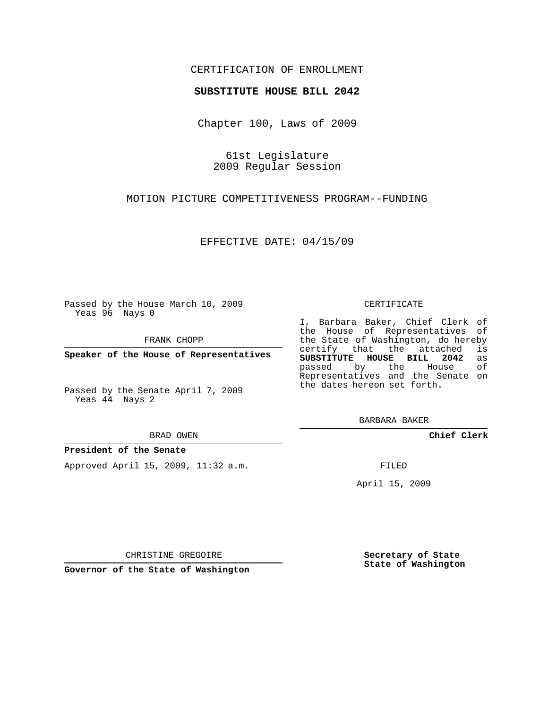## CERTIFICATION OF ENROLLMENT

### **SUBSTITUTE HOUSE BILL 2042**

Chapter 100, Laws of 2009

61st Legislature 2009 Regular Session

MOTION PICTURE COMPETITIVENESS PROGRAM--FUNDING

EFFECTIVE DATE: 04/15/09

Passed by the House March 10, 2009 Yeas 96 Nays 0

FRANK CHOPP

**Speaker of the House of Representatives**

Passed by the Senate April 7, 2009 Yeas 44 Nays 2

BRAD OWEN

### **President of the Senate**

Approved April 15, 2009, 11:32 a.m.

#### CERTIFICATE

I, Barbara Baker, Chief Clerk of the House of Representatives of the State of Washington, do hereby<br>certify that the attached is **SUBSTITUTE HOUSE BILL 2042** as Representatives and the Senate on

**Chief Clerk**

FILED

April 15, 2009

**Secretary of State State of Washington**

CHRISTINE GREGOIRE

**Governor of the State of Washington**

certify that the attached passed by the the dates hereon set forth.

BARBARA BAKER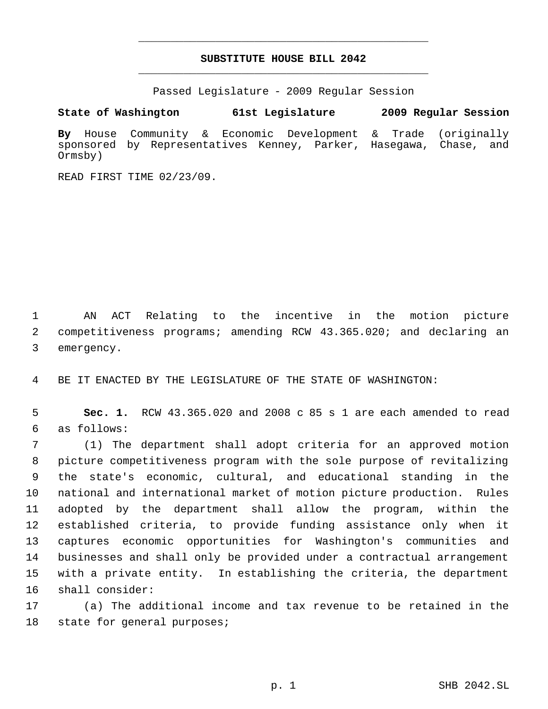# **SUBSTITUTE HOUSE BILL 2042** \_\_\_\_\_\_\_\_\_\_\_\_\_\_\_\_\_\_\_\_\_\_\_\_\_\_\_\_\_\_\_\_\_\_\_\_\_\_\_\_\_\_\_\_\_

\_\_\_\_\_\_\_\_\_\_\_\_\_\_\_\_\_\_\_\_\_\_\_\_\_\_\_\_\_\_\_\_\_\_\_\_\_\_\_\_\_\_\_\_\_

Passed Legislature - 2009 Regular Session

**State of Washington 61st Legislature 2009 Regular Session**

**By** House Community & Economic Development & Trade (originally sponsored by Representatives Kenney, Parker, Hasegawa, Chase, and Ormsby)

READ FIRST TIME 02/23/09.

 AN ACT Relating to the incentive in the motion picture competitiveness programs; amending RCW 43.365.020; and declaring an emergency.

BE IT ENACTED BY THE LEGISLATURE OF THE STATE OF WASHINGTON:

 **Sec. 1.** RCW 43.365.020 and 2008 c 85 s 1 are each amended to read as follows:

 (1) The department shall adopt criteria for an approved motion picture competitiveness program with the sole purpose of revitalizing the state's economic, cultural, and educational standing in the national and international market of motion picture production. Rules adopted by the department shall allow the program, within the established criteria, to provide funding assistance only when it captures economic opportunities for Washington's communities and businesses and shall only be provided under a contractual arrangement with a private entity. In establishing the criteria, the department shall consider:

 (a) The additional income and tax revenue to be retained in the state for general purposes;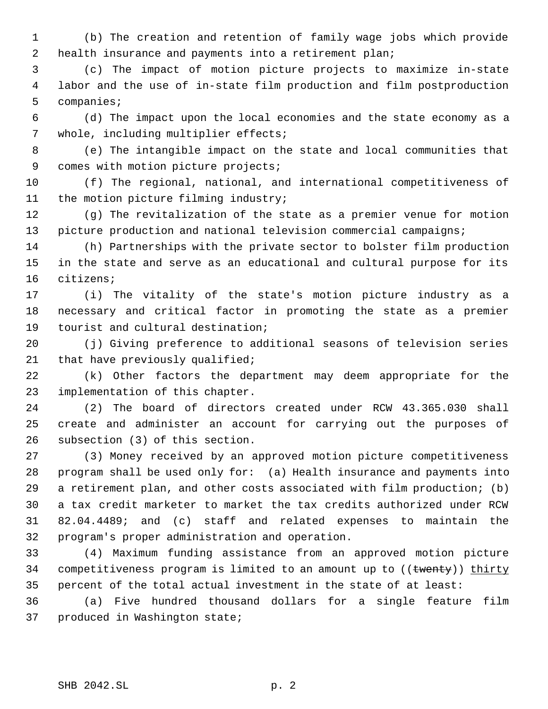(b) The creation and retention of family wage jobs which provide 2 health insurance and payments into a retirement plan;

 (c) The impact of motion picture projects to maximize in-state labor and the use of in-state film production and film postproduction companies;

 (d) The impact upon the local economies and the state economy as a whole, including multiplier effects;

 (e) The intangible impact on the state and local communities that 9 comes with motion picture projects;

 (f) The regional, national, and international competitiveness of the motion picture filming industry;

 (g) The revitalization of the state as a premier venue for motion 13 picture production and national television commercial campaigns;

 (h) Partnerships with the private sector to bolster film production in the state and serve as an educational and cultural purpose for its citizens;

 (i) The vitality of the state's motion picture industry as a necessary and critical factor in promoting the state as a premier tourist and cultural destination;

 (j) Giving preference to additional seasons of television series 21 that have previously qualified;

 (k) Other factors the department may deem appropriate for the implementation of this chapter.

 (2) The board of directors created under RCW 43.365.030 shall create and administer an account for carrying out the purposes of subsection (3) of this section.

 (3) Money received by an approved motion picture competitiveness program shall be used only for: (a) Health insurance and payments into a retirement plan, and other costs associated with film production; (b) a tax credit marketer to market the tax credits authorized under RCW 82.04.4489; and (c) staff and related expenses to maintain the program's proper administration and operation.

 (4) Maximum funding assistance from an approved motion picture 34 competitiveness program is limited to an amount up to ((twenty)) thirty 35 percent of the total actual investment in the state of at least:

 (a) Five hundred thousand dollars for a single feature film produced in Washington state;